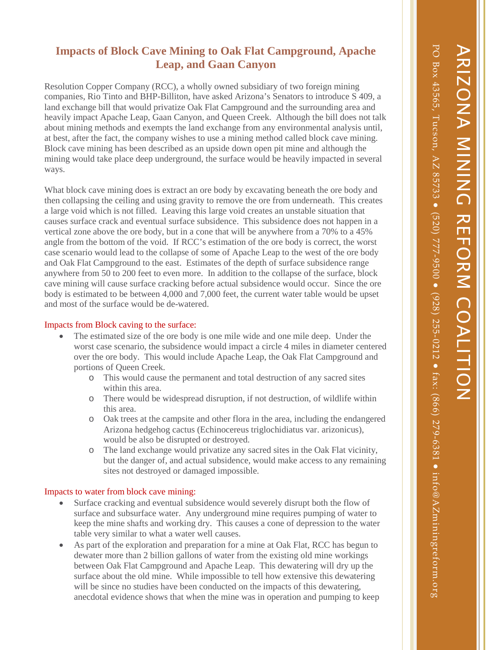PO Box 43565, Tucson, AZ 85733

 $\overline{C}$ 

(520) 777-9500

●

(928) 255-0212

●

fax: (866) 279-6381

 $\bullet$ 

info@AZminingreform.org

## **Impacts of Block Cave Mining to Oak Flat Campground, Apache Leap, and Gaan Canyon**

Resolution Copper Company (RCC), a wholly owned subsidiary of two foreign mining companies, Rio Tinto and BHP-Billiton, have asked Arizona's Senators to introduce S 409, a land exchange bill that would privatize Oak Flat Campground and the surrounding area and heavily impact Apache Leap, Gaan Canyon, and Queen Creek. Although the bill does not talk about mining methods and exempts the land exchange from any environmental analysis until, at best, after the fact, the company wishes to use a mining method called block cave mining. Block cave mining has been described as an upside down open pit mine and although the mining would take place deep underground, the surface would be heavily impacted in several ways.

What block cave mining does is extract an ore body by excavating beneath the ore body and then collapsing the ceiling and using gravity to remove the ore from underneath. This creates a large void which is not filled. Leaving this large void creates an unstable situation that causes surface crack and eventual surface subsidence. This subsidence does not happen in a vertical zone above the ore body, but in a cone that will be anywhere from a 70% to a 45% angle from the bottom of the void. If RCC's estimation of the ore body is correct, the worst case scenario would lead to the collapse of some of Apache Leap to the west of the ore body and Oak Flat Campground to the east. Estimates of the depth of surface subsidence range anywhere from 50 to 200 feet to even more. In addition to the collapse of the surface, block cave mining will cause surface cracking before actual subsidence would occur. Since the ore body is estimated to be between 4,000 and 7,000 feet, the current water table would be upset and most of the surface would be de-watered.

## Impacts from Block caving to the surface:

- The estimated size of the ore body is one mile wide and one mile deep. Under the worst case scenario, the subsidence would impact a circle 4 miles in diameter centered over the ore body. This would include Apache Leap, the Oak Flat Campground and portions of Queen Creek.
	- o This would cause the permanent and total destruction of any sacred sites within this area.
	- o There would be widespread disruption, if not destruction, of wildlife within this area.
	- o Oak trees at the campsite and other flora in the area, including the endangered Arizona hedgehog cactus (Echinocereus triglochidiatus var. arizonicus), would be also be disrupted or destroyed.
	- o The land exchange would privatize any sacred sites in the Oak Flat vicinity, but the danger of, and actual subsidence, would make access to any remaining sites not destroyed or damaged impossible.

## Impacts to water from block cave mining:

- Surface cracking and eventual subsidence would severely disrupt both the flow of surface and subsurface water. Any underground mine requires pumping of water to keep the mine shafts and working dry. This causes a cone of depression to the water table very similar to what a water well causes.
- As part of the exploration and preparation for a mine at Oak Flat, RCC has begun to dewater more than 2 billion gallons of water from the existing old mine workings between Oak Flat Campground and Apache Leap. This dewatering will dry up the surface about the old mine. While impossible to tell how extensive this dewatering will be since no studies have been conducted on the impacts of this dewatering, anecdotal evidence shows that when the mine was in operation and pumping to keep